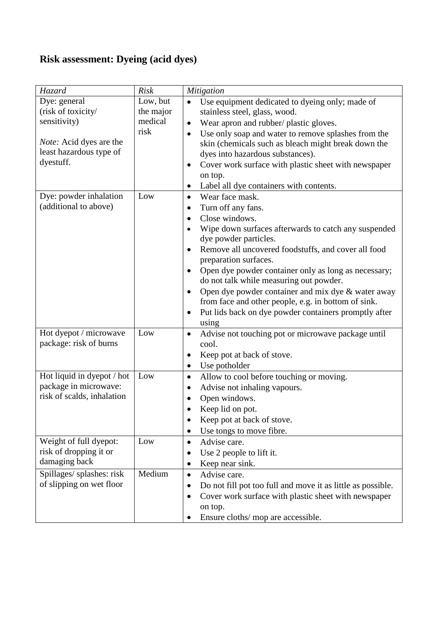## **Risk assessment: Dyeing (acid dyes)**

| Hazard                                                                                                                       | <b>Risk</b>                              | Mitigation                                                                                                                                                                                                                                                                                                                                                                                                                                                                                                                                                                    |
|------------------------------------------------------------------------------------------------------------------------------|------------------------------------------|-------------------------------------------------------------------------------------------------------------------------------------------------------------------------------------------------------------------------------------------------------------------------------------------------------------------------------------------------------------------------------------------------------------------------------------------------------------------------------------------------------------------------------------------------------------------------------|
| Dye: general<br>(risk of toxicity/<br>sensitivity)<br><i>Note:</i> Acid dyes are the<br>least hazardous type of<br>dyestuff. | Low, but<br>the major<br>medical<br>risk | Use equipment dedicated to dyeing only; made of<br>stainless steel, glass, wood.<br>Wear apron and rubber/ plastic gloves.<br>$\bullet$<br>Use only soap and water to remove splashes from the<br>$\bullet$<br>skin (chemicals such as bleach might break down the<br>dyes into hazardous substances).<br>Cover work surface with plastic sheet with newspaper<br>٠<br>on top.<br>Label all dye containers with contents.<br>$\bullet$                                                                                                                                        |
| Dye: powder inhalation<br>(additional to above)                                                                              | Low                                      | Wear face mask.<br>$\bullet$<br>Turn off any fans.<br>٠<br>Close windows.<br>$\bullet$<br>Wipe down surfaces afterwards to catch any suspended<br>dye powder particles.<br>Remove all uncovered foodstuffs, and cover all food<br>٠<br>preparation surfaces.<br>Open dye powder container only as long as necessary;<br>٠<br>do not talk while measuring out powder.<br>Open dye powder container and mix dye & water away<br>$\bullet$<br>from face and other people, e.g. in bottom of sink.<br>Put lids back on dye powder containers promptly after<br>$\bullet$<br>using |
| Hot dyepot / microwave<br>package: risk of burns                                                                             | Low                                      | Advise not touching pot or microwave package until<br>$\bullet$<br>cool.<br>Keep pot at back of stove.<br>$\bullet$<br>Use potholder<br>$\bullet$                                                                                                                                                                                                                                                                                                                                                                                                                             |
| Hot liquid in dyepot / hot<br>package in microwave:<br>risk of scalds, inhalation                                            | Low                                      | Allow to cool before touching or moving.<br>$\bullet$<br>Advise not inhaling vapours.<br>$\bullet$<br>Open windows.<br>٠<br>Keep lid on pot.<br>Keep pot at back of stove.<br>٠<br>Use tongs to move fibre.                                                                                                                                                                                                                                                                                                                                                                   |
| Weight of full dyepot:<br>risk of dropping it or<br>damaging back                                                            | Low                                      | Advise care.<br>$\bullet$<br>Use 2 people to lift it.<br>Keep near sink.                                                                                                                                                                                                                                                                                                                                                                                                                                                                                                      |
| Spillages/ splashes: risk<br>of slipping on wet floor                                                                        | Medium                                   | Advise care.<br>$\bullet$<br>Do not fill pot too full and move it as little as possible.<br>Cover work surface with plastic sheet with newspaper<br>٠<br>on top.<br>Ensure cloths/ mop are accessible.                                                                                                                                                                                                                                                                                                                                                                        |